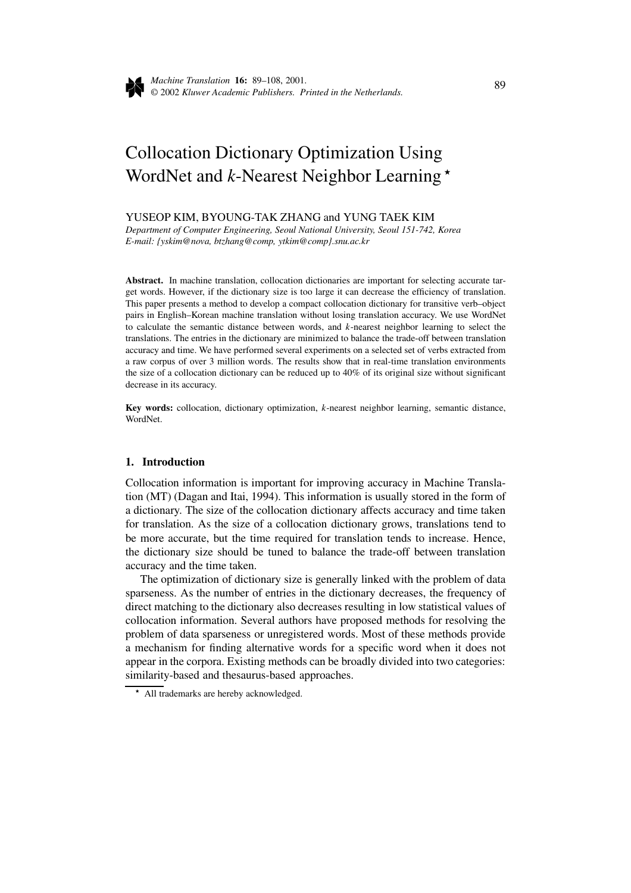

# Collocation Dictionary Optimization Using WordNet and *k*-Nearest Neighbor Learning

### YUSEOP KIM, BYOUNG-TAK ZHANG and YUNG TAEK KIM

*Department of Computer Engineering, Seoul National University, Seoul 151-742, Korea E-mail: {yskim@nova, btzhang@comp, ytkim@comp}.snu.ac.kr*

**Abstract.** In machine translation, collocation dictionaries are important for selecting accurate target words. However, if the dictionary size is too large it can decrease the efficiency of translation. This paper presents a method to develop a compact collocation dictionary for transitive verb–object pairs in English–Korean machine translation without losing translation accuracy. We use WordNet to calculate the semantic distance between words, and *k*-nearest neighbor learning to select the translations. The entries in the dictionary are minimized to balance the trade-off between translation accuracy and time. We have performed several experiments on a selected set of verbs extracted from a raw corpus of over 3 million words. The results show that in real-time translation environments the size of a collocation dictionary can be reduced up to 40% of its original size without significant decrease in its accuracy.

**Key words:** collocation, dictionary optimization, *k*-nearest neighbor learning, semantic distance, WordNet.

# **1. Introduction**

Collocation information is important for improving accuracy in Machine Translation (MT) (Dagan and Itai, 1994). This information is usually stored in the form of a dictionary. The size of the collocation dictionary affects accuracy and time taken for translation. As the size of a collocation dictionary grows, translations tend to be more accurate, but the time required for translation tends to increase. Hence, the dictionary size should be tuned to balance the trade-off between translation accuracy and the time taken.

The optimization of dictionary size is generally linked with the problem of data sparseness. As the number of entries in the dictionary decreases, the frequency of direct matching to the dictionary also decreases resulting in low statistical values of collocation information. Several authors have proposed methods for resolving the problem of data sparseness or unregistered words. Most of these methods provide a mechanism for finding alternative words for a specific word when it does not appear in the corpora. Existing methods can be broadly divided into two categories: similarity-based and thesaurus-based approaches.

<sup>\*</sup> All trademarks are hereby acknowledged.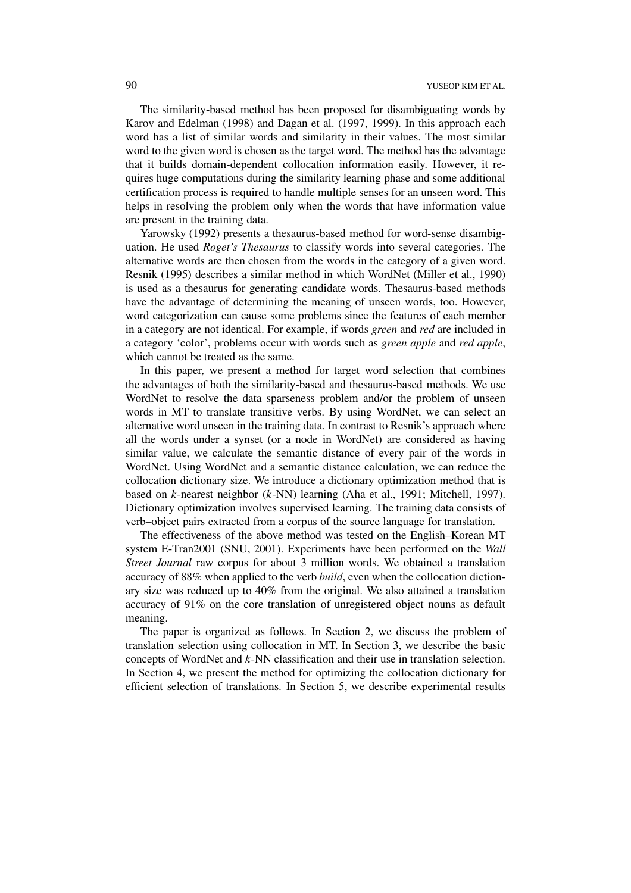The similarity-based method has been proposed for disambiguating words by Karov and Edelman (1998) and Dagan et al. (1997, 1999). In this approach each word has a list of similar words and similarity in their values. The most similar word to the given word is chosen as the target word. The method has the advantage that it builds domain-dependent collocation information easily. However, it requires huge computations during the similarity learning phase and some additional certification process is required to handle multiple senses for an unseen word. This helps in resolving the problem only when the words that have information value are present in the training data.

Yarowsky (1992) presents a thesaurus-based method for word-sense disambiguation. He used *Roget's Thesaurus* to classify words into several categories. The alternative words are then chosen from the words in the category of a given word. Resnik (1995) describes a similar method in which WordNet (Miller et al., 1990) is used as a thesaurus for generating candidate words. Thesaurus-based methods have the advantage of determining the meaning of unseen words, too. However, word categorization can cause some problems since the features of each member in a category are not identical. For example, if words *green* and *red* are included in a category 'color', problems occur with words such as *green apple* and *red apple*, which cannot be treated as the same.

In this paper, we present a method for target word selection that combines the advantages of both the similarity-based and thesaurus-based methods. We use WordNet to resolve the data sparseness problem and/or the problem of unseen words in MT to translate transitive verbs. By using WordNet, we can select an alternative word unseen in the training data. In contrast to Resnik's approach where all the words under a synset (or a node in WordNet) are considered as having similar value, we calculate the semantic distance of every pair of the words in WordNet. Using WordNet and a semantic distance calculation, we can reduce the collocation dictionary size. We introduce a dictionary optimization method that is based on *k*-nearest neighbor (*k*-NN) learning (Aha et al., 1991; Mitchell, 1997). Dictionary optimization involves supervised learning. The training data consists of verb–object pairs extracted from a corpus of the source language for translation.

The effectiveness of the above method was tested on the English–Korean MT system E-Tran2001 (SNU, 2001). Experiments have been performed on the *Wall Street Journal* raw corpus for about 3 million words. We obtained a translation accuracy of 88% when applied to the verb *build*, even when the collocation dictionary size was reduced up to 40% from the original. We also attained a translation accuracy of 91% on the core translation of unregistered object nouns as default meaning.

The paper is organized as follows. In Section 2, we discuss the problem of translation selection using collocation in MT. In Section 3, we describe the basic concepts of WordNet and *k*-NN classification and their use in translation selection. In Section 4, we present the method for optimizing the collocation dictionary for efficient selection of translations. In Section 5, we describe experimental results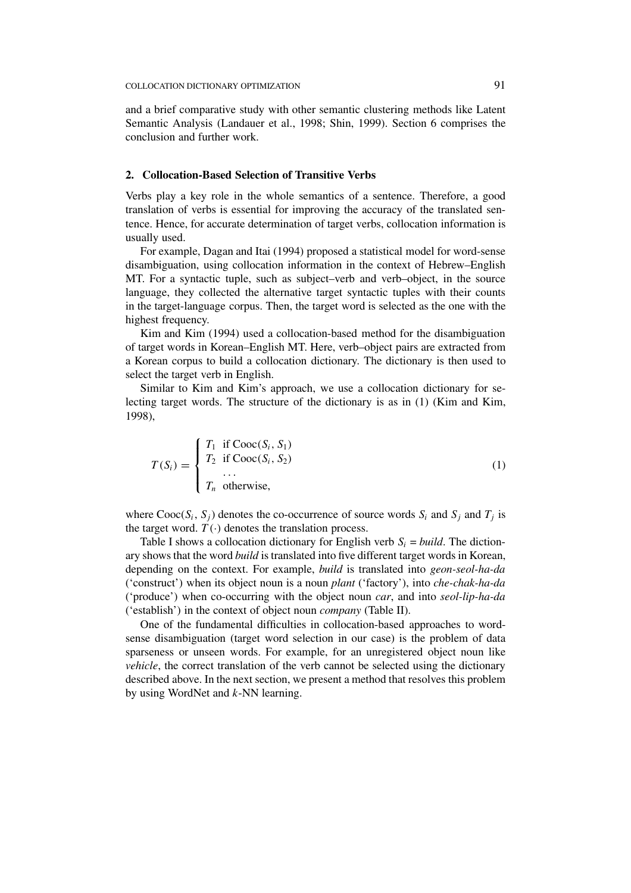and a brief comparative study with other semantic clustering methods like Latent Semantic Analysis (Landauer et al., 1998; Shin, 1999). Section 6 comprises the conclusion and further work.

#### **2. Collocation-Based Selection of Transitive Verbs**

Verbs play a key role in the whole semantics of a sentence. Therefore, a good translation of verbs is essential for improving the accuracy of the translated sentence. Hence, for accurate determination of target verbs, collocation information is usually used.

For example, Dagan and Itai (1994) proposed a statistical model for word-sense disambiguation, using collocation information in the context of Hebrew–English MT. For a syntactic tuple, such as subject–verb and verb–object, in the source language, they collected the alternative target syntactic tuples with their counts in the target-language corpus. Then, the target word is selected as the one with the highest frequency.

Kim and Kim (1994) used a collocation-based method for the disambiguation of target words in Korean–English MT. Here, verb–object pairs are extracted from a Korean corpus to build a collocation dictionary. The dictionary is then used to select the target verb in English.

Similar to Kim and Kim's approach, we use a collocation dictionary for selecting target words. The structure of the dictionary is as in (1) (Kim and Kim, 1998),

$$
T(S_i) = \begin{cases} T_1 & \text{if } \text{Cooc}(S_i, S_1) \\ T_2 & \text{if } \text{Cooc}(S_i, S_2) \\ \dots \\ T_n & \text{otherwise,} \end{cases}
$$
 (1)

where  $Coc(S_i, S_j)$  denotes the co-occurrence of source words  $S_i$  and  $S_j$  and  $T_j$  is the target word.  $\overline{T}(\cdot)$  denotes the translation process.

Table I shows a collocation dictionary for English verb  $S_i = build$ . The dictionary shows that the word *build* is translated into five different target words in Korean, depending on the context. For example, *build* is translated into *geon-seol-ha-da* ('construct') when its object noun is a noun *plant* ('factory'), into *che-chak-ha-da* ('produce') when co-occurring with the object noun *car*, and into *seol-lip-ha-da* ('establish') in the context of object noun *company* (Table II).

One of the fundamental difficulties in collocation-based approaches to wordsense disambiguation (target word selection in our case) is the problem of data sparseness or unseen words. For example, for an unregistered object noun like *vehicle*, the correct translation of the verb cannot be selected using the dictionary described above. In the next section, we present a method that resolves this problem by using WordNet and *k*-NN learning.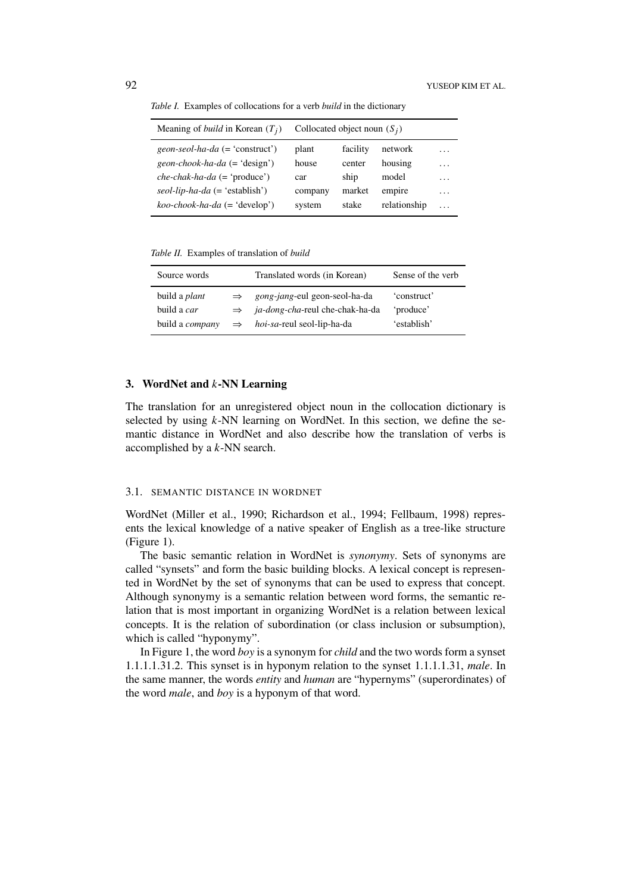| Meaning of <i>build</i> in Korean $(T_i)$    | Collocated object noun $(S_i)$ |          |              |           |  |
|----------------------------------------------|--------------------------------|----------|--------------|-----------|--|
| $geon-seol-ha-da (= 'construct')$            | plant                          | facility | network      | .         |  |
| <i>geon-chook-ha-da</i> $($ = 'design')      | house                          | center   | housing      | $\ddotsc$ |  |
| $che\text{-}chak-ha\text{-}da (= 'produce')$ | car                            | ship     | model        | .         |  |
| $seol-lip-ha-da (= 'establish')$             | company                        | market   | empire       | $\cdots$  |  |
| $koo-chook-ha-da (= 'develop')$              | system                         | stake    | relationship | .         |  |

*Table I.* Examples of collocations for a verb *build* in the dictionary

*Table II.* Examples of translation of *build*

| Source words           |               | Translated words (in Korean)           | Sense of the verb |
|------------------------|---------------|----------------------------------------|-------------------|
| build a <i>plant</i>   | $\Rightarrow$ | <i>gong-jang-eul geon-seol-ha-da</i>   | 'construct'       |
| build a car            | $\Rightarrow$ | <i>ja-dong-cha-reul che-chak-ha-da</i> | 'produce'         |
| build a <i>company</i> | $\Rightarrow$ | <i>hoi-sa-reul</i> seol-lip-ha-da      | 'establish'       |

#### **3. WordNet and** *k***-NN Learning**

The translation for an unregistered object noun in the collocation dictionary is selected by using *k*-NN learning on WordNet. In this section, we define the semantic distance in WordNet and also describe how the translation of verbs is accomplished by a *k*-NN search.

### 3.1. SEMANTIC DISTANCE IN WORDNET

WordNet (Miller et al., 1990; Richardson et al., 1994; Fellbaum, 1998) represents the lexical knowledge of a native speaker of English as a tree-like structure (Figure 1).

The basic semantic relation in WordNet is *synonymy*. Sets of synonyms are called "synsets" and form the basic building blocks. A lexical concept is represented in WordNet by the set of synonyms that can be used to express that concept. Although synonymy is a semantic relation between word forms, the semantic relation that is most important in organizing WordNet is a relation between lexical concepts. It is the relation of subordination (or class inclusion or subsumption), which is called "hyponymy".

In Figure 1, the word *boy* is a synonym for *child* and the two words form a synset 1.1.1.1.31.2. This synset is in hyponym relation to the synset 1.1.1.1.31, *male*. In the same manner, the words *entity* and *human* are "hypernyms" (superordinates) of the word *male*, and *boy* is a hyponym of that word.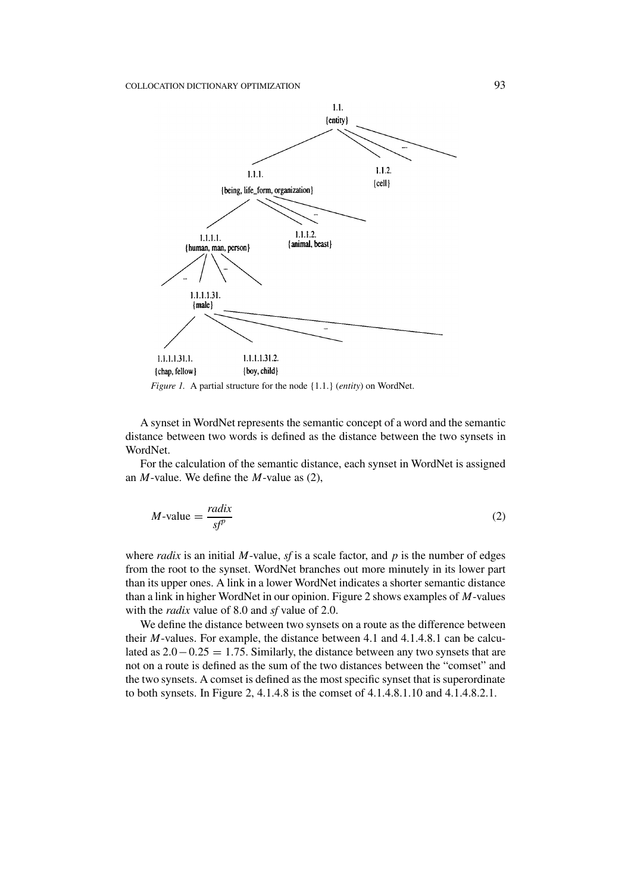

*Figure 1.* A partial structure for the node {1.1.} (*entity*) on WordNet.

A synset in WordNet represents the semantic concept of a word and the semantic distance between two words is defined as the distance between the two synsets in WordNet.

For the calculation of the semantic distance, each synset in WordNet is assigned an *M*-value. We define the *M*-value as (2),

$$
M\text{-value} = \frac{radix}{sf^p} \tag{2}
$$

where *radix* is an initial *M*-value, *sf* is a scale factor, and *p* is the number of edges from the root to the synset. WordNet branches out more minutely in its lower part than its upper ones. A link in a lower WordNet indicates a shorter semantic distance than a link in higher WordNet in our opinion. Figure 2 shows examples of *M*-values with the *radix* value of 8.0 and *sf* value of 2.0.

We define the distance between two synsets on a route as the difference between their *M*-values. For example, the distance between 4.1 and 4.1.4.8.1 can be calculated as 2*.*0−0*.*25 = 1*.*75. Similarly, the distance between any two synsets that are not on a route is defined as the sum of the two distances between the "comset" and the two synsets. A comset is defined as the most specific synset that is superordinate to both synsets. In Figure 2, 4.1.4.8 is the comset of 4.1.4.8.1.10 and 4.1.4.8.2.1.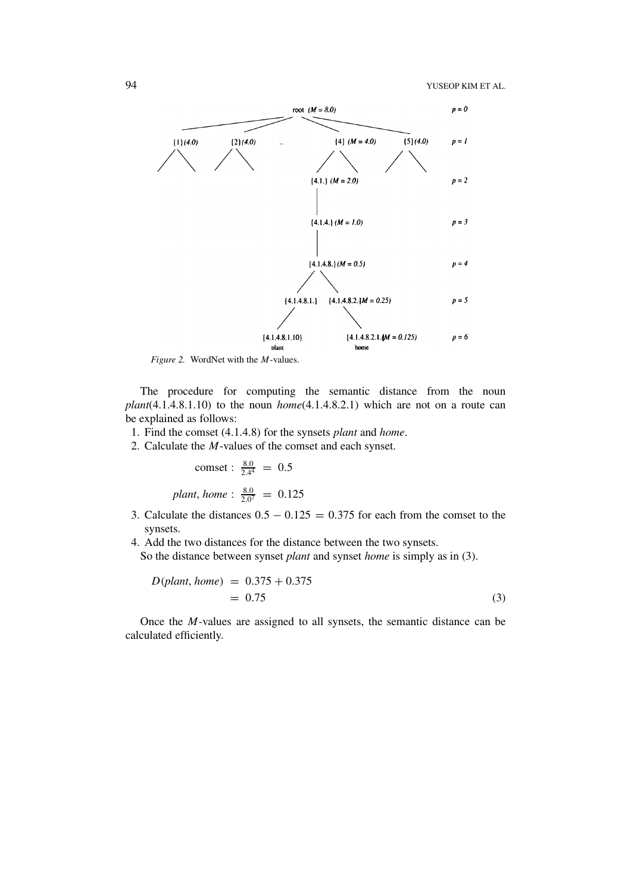

*Figure 2.* WordNet with the *M*-values.

The procedure for computing the semantic distance from the noun *plant*(4.1.4.8.1.10) to the noun *home*(4.1.4.8.2.1) which are not on a route can be explained as follows:

- 1. Find the comset (4.1.4.8) for the synsets *plant* and *home*.
- 2. Calculate the *M*-values of the comset and each synset.

comset :  $\frac{8.0}{2.4^4}$  = 0.5 *plant*, *home* :  $\frac{8.0}{2.0^7}$  = 0.125

- 3. Calculate the distances 0*.*5 − 0*.*125 = 0*.*375 for each from the comset to the synsets.
- 4. Add the two distances for the distance between the two synsets. So the distance between synset *plant* and synset *home* is simply as in (3).

$$
D(plant, home) = 0.375 + 0.375
$$
  
= 0.75 (3)

Once the *M*-values are assigned to all synsets, the semantic distance can be calculated efficiently.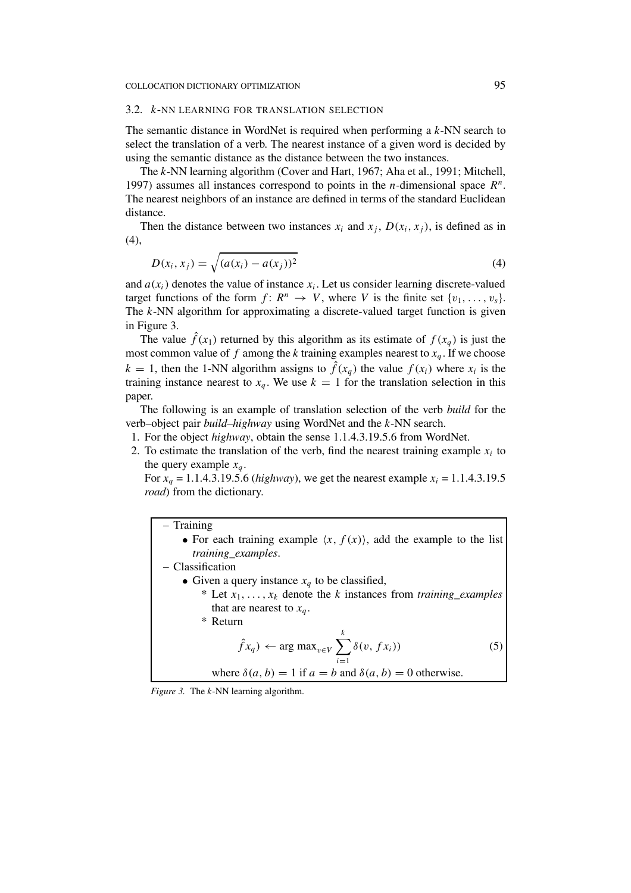#### 3.2. *k*-NN LEARNING FOR TRANSLATION SELECTION

The semantic distance in WordNet is required when performing a *k*-NN search to select the translation of a verb. The nearest instance of a given word is decided by using the semantic distance as the distance between the two instances.

The *k*-NN learning algorithm (Cover and Hart, 1967; Aha et al., 1991; Mitchell, 1997) assumes all instances correspond to points in the *n*-dimensional space *R<sup>n</sup>*. The nearest neighbors of an instance are defined in terms of the standard Euclidean distance.

Then the distance between two instances  $x_i$  and  $x_j$ ,  $D(x_i, x_j)$ , is defined as in  $(4)$ ,

$$
D(x_i, x_j) = \sqrt{(a(x_i) - a(x_j))^2}
$$
 (4)

and  $a(x_i)$  denotes the value of instance  $x_i$ . Let us consider learning discrete-valued target functions of the form  $f: R^n \to V$ , where *V* is the finite set  $\{v_1, \ldots, v_s\}$ . The *k*-NN algorithm for approximating a discrete-valued target function is given in Figure 3.

The value  $\hat{f}(x_1)$  returned by this algorithm as its estimate of  $f(x_q)$  is just the most common value of  $f$  among the  $k$  training examples nearest to  $x_q$ . If we choose  $k = 1$ , then the 1-NN algorithm assigns to  $\hat{f}(x_q)$  the value  $f(x_i)$  where  $x_i$  is the training instance nearest to  $x_q$ . We use  $k = 1$  for the translation selection in this paper.

The following is an example of translation selection of the verb *build* for the verb–object pair *build–highway* using WordNet and the *k*-NN search.

- 1. For the object *highway*, obtain the sense 1.1.4.3.19.5.6 from WordNet.
- 2. To estimate the translation of the verb, find the nearest training example  $x_i$  to the query example  $x_q$ .

For  $x_q = 1.1.4.3.19.5.6$  (*highway*), we get the nearest example  $x_i = 1.1.4.3.19.5$ *road*) from the dictionary.

| $-$ Training                                                                                    |
|-------------------------------------------------------------------------------------------------|
| • For each training example $\langle x, f(x) \rangle$ , add the example to the list             |
| training_examples.                                                                              |
| - Classification                                                                                |
| • Given a query instance $x_q$ to be classified,                                                |
| * Let $x_1, \ldots, x_k$ denote the k instances from training examples                          |
| that are nearest to $x_q$ .                                                                     |
| * Return                                                                                        |
|                                                                                                 |
| $\hat{f}x_q$ $\leftarrow$ arg max <sub><math>v \in V</math></sub> $\sum \delta(v, fx_i)$<br>(5) |
| $i=1$                                                                                           |
| where $\delta(a, b) = 1$ if $a = b$ and $\delta(a, b) = 0$ otherwise.                           |

*Figure 3.* The *k*-NN learning algorithm.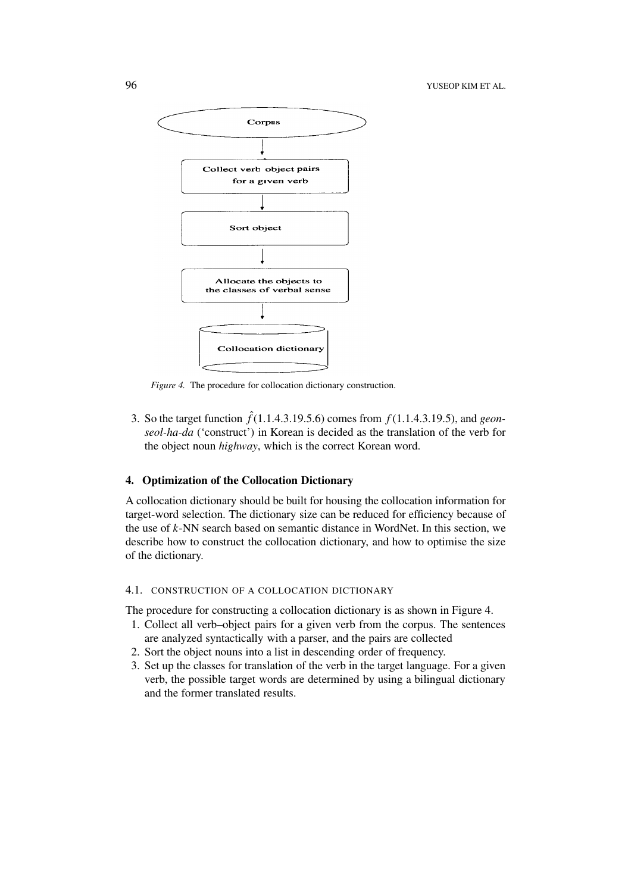

*Figure 4.* The procedure for collocation dictionary construction.

3. So the target function *f*ˆ(1.1.4.3.19.5.6) comes from *f* (1.1.4.3.19.5), and *geonseol-ha-da* ('construct') in Korean is decided as the translation of the verb for the object noun *highway*, which is the correct Korean word.

# **4. Optimization of the Collocation Dictionary**

A collocation dictionary should be built for housing the collocation information for target-word selection. The dictionary size can be reduced for efficiency because of the use of *k*-NN search based on semantic distance in WordNet. In this section, we describe how to construct the collocation dictionary, and how to optimise the size of the dictionary.

# 4.1. CONSTRUCTION OF A COLLOCATION DICTIONARY

The procedure for constructing a collocation dictionary is as shown in Figure 4.

- 1. Collect all verb–object pairs for a given verb from the corpus. The sentences are analyzed syntactically with a parser, and the pairs are collected
- 2. Sort the object nouns into a list in descending order of frequency.
- 3. Set up the classes for translation of the verb in the target language. For a given verb, the possible target words are determined by using a bilingual dictionary and the former translated results.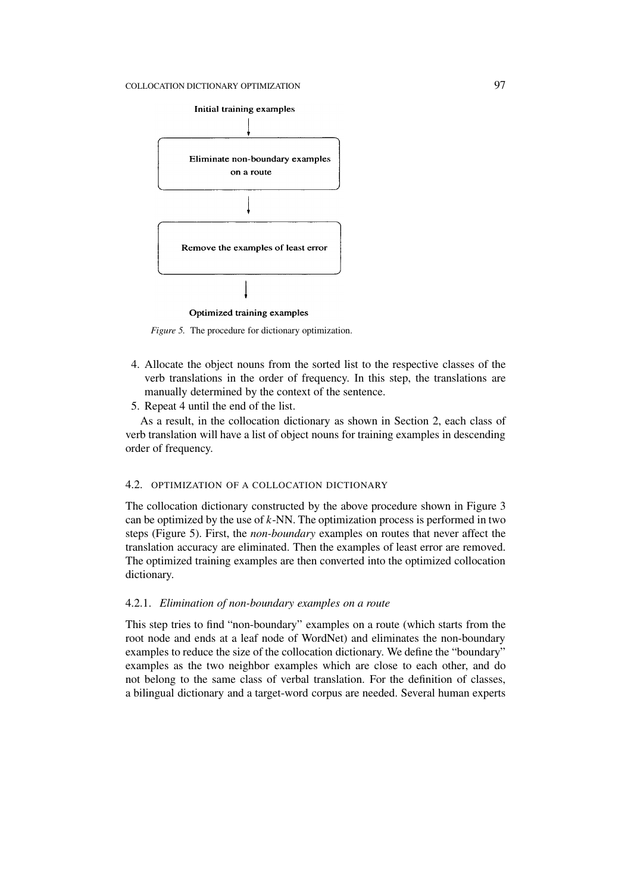

Optimized training examples

*Figure 5.* The procedure for dictionary optimization.

- 4. Allocate the object nouns from the sorted list to the respective classes of the verb translations in the order of frequency. In this step, the translations are manually determined by the context of the sentence.
- 5. Repeat 4 until the end of the list.

As a result, in the collocation dictionary as shown in Section 2, each class of verb translation will have a list of object nouns for training examples in descending order of frequency.

# 4.2. OPTIMIZATION OF A COLLOCATION DICTIONARY

The collocation dictionary constructed by the above procedure shown in Figure 3 can be optimized by the use of *k*-NN. The optimization process is performed in two steps (Figure 5). First, the *non-boundary* examples on routes that never affect the translation accuracy are eliminated. Then the examples of least error are removed. The optimized training examples are then converted into the optimized collocation dictionary.

# 4.2.1. *Elimination of non-boundary examples on a route*

This step tries to find "non-boundary" examples on a route (which starts from the root node and ends at a leaf node of WordNet) and eliminates the non-boundary examples to reduce the size of the collocation dictionary. We define the "boundary" examples as the two neighbor examples which are close to each other, and do not belong to the same class of verbal translation. For the definition of classes, a bilingual dictionary and a target-word corpus are needed. Several human experts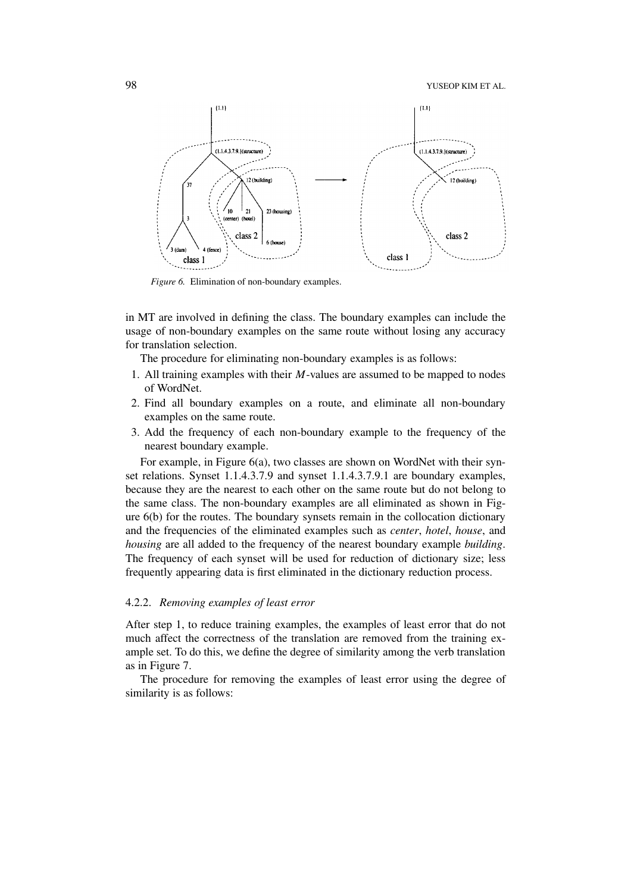

*Figure 6.* Elimination of non-boundary examples.

in MT are involved in defining the class. The boundary examples can include the usage of non-boundary examples on the same route without losing any accuracy for translation selection.

The procedure for eliminating non-boundary examples is as follows:

- 1. All training examples with their *M*-values are assumed to be mapped to nodes of WordNet.
- 2. Find all boundary examples on a route, and eliminate all non-boundary examples on the same route.
- 3. Add the frequency of each non-boundary example to the frequency of the nearest boundary example.

For example, in Figure 6(a), two classes are shown on WordNet with their synset relations. Synset 1.1.4.3.7.9 and synset 1.1.4.3.7.9.1 are boundary examples, because they are the nearest to each other on the same route but do not belong to the same class. The non-boundary examples are all eliminated as shown in Figure 6(b) for the routes. The boundary synsets remain in the collocation dictionary and the frequencies of the eliminated examples such as *center*, *hotel*, *house*, and *housing* are all added to the frequency of the nearest boundary example *building*. The frequency of each synset will be used for reduction of dictionary size; less frequently appearing data is first eliminated in the dictionary reduction process.

# 4.2.2. *Removing examples of least error*

After step 1, to reduce training examples, the examples of least error that do not much affect the correctness of the translation are removed from the training example set. To do this, we define the degree of similarity among the verb translation as in Figure 7.

The procedure for removing the examples of least error using the degree of similarity is as follows: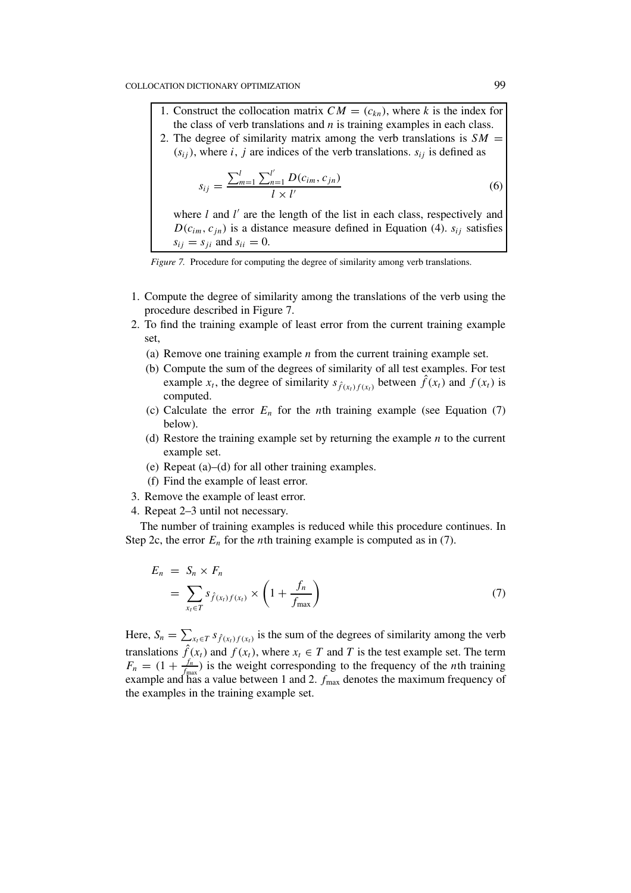- 1. Construct the collocation matrix  $CM = (c_{kn})$ , where *k* is the index for the class of verb translations and *n* is training examples in each class.
- 2. The degree of similarity matrix among the verb translations is  $SM =$  $(s_{ij})$ , where *i*, *j* are indices of the verb translations.  $s_{ij}$  is defined as

$$
s_{ij} = \frac{\sum_{m=1}^{l} \sum_{n=1}^{l'} D(c_{im}, c_{jn})}{l \times l'}
$$
(6)

where  $l$  and  $l'$  are the length of the list in each class, respectively and  $D(c_{im}, c_{in})$  is a distance measure defined in Equation (4).  $s_{ij}$  satisfies  $s_{ij} = s_{ji}$  and  $s_{ii} = 0$ .

*Figure 7.* Procedure for computing the degree of similarity among verb translations.

- 1. Compute the degree of similarity among the translations of the verb using the procedure described in Figure 7.
- 2. To find the training example of least error from the current training example set,
	- (a) Remove one training example *n* from the current training example set.
	- (b) Compute the sum of the degrees of similarity of all test examples. For test example  $x_t$ , the degree of similarity  $s_{\hat{f}(x_t)f(x_t)}$  between  $\hat{f}(x_t)$  and  $f(x_t)$  is computed.
	- (c) Calculate the error  $E_n$  for the *n*th training example (see Equation (7) below).
	- (d) Restore the training example set by returning the example *n* to the current example set.
	- (e) Repeat (a)–(d) for all other training examples.
	- (f) Find the example of least error.
- 3. Remove the example of least error.
- 4. Repeat 2–3 until not necessary.

The number of training examples is reduced while this procedure continues. In Step 2c, the error  $E_n$  for the *n*th training example is computed as in (7).

$$
E_n = S_n \times F_n
$$
  
= 
$$
\sum_{x_t \in T} s_{\hat{f}(x_t)f(x_t)} \times \left(1 + \frac{f_n}{f_{\text{max}}}\right)
$$
 (7)

Here,  $S_n = \sum_{x_t \in T} s_{\hat{f}(x_t)f(x_t)}$  is the sum of the degrees of similarity among the verb translations  $\hat{f}(x_t)$  and  $f(x_t)$ , where  $x_t \in T$  and  $T$  is the test example set. The term  $F_n = (1 + \frac{f_n}{f_{\text{max}}})$  is the weight corresponding to the frequency of the *n*th training example and has a value between 1 and 2.  $f_{\text{max}}$  denotes the maximum frequency of the examples in the training example set.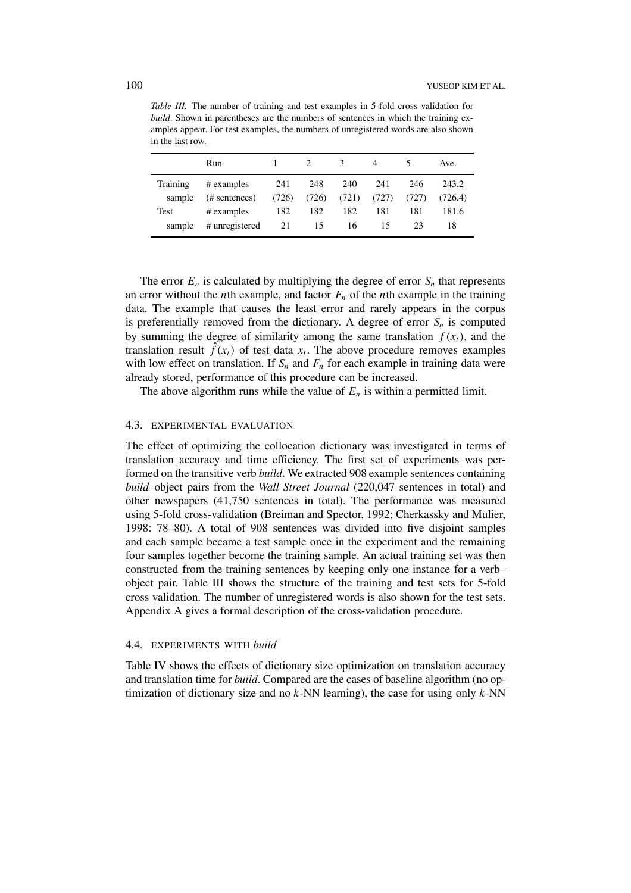| in the last row.   |                                                                                                  |              |             |                |                |     |       |
|--------------------|--------------------------------------------------------------------------------------------------|--------------|-------------|----------------|----------------|-----|-------|
|                    | Run                                                                                              | $\mathbf{1}$ | $2^{\circ}$ | $\overline{3}$ | $\overline{4}$ |     | Ave.  |
| Training<br>sample | $\#\$ examples 241 248 240 241<br>$(\# \text{ sentences})$ (726) (726) (721) (727) (727) (726.4) |              |             |                |                | 246 | 243.2 |

Test # examples 182 182 182 181 181 181.6 sample # unregistered 21 15 16 15 23 18

*Table III.* The number of training and test examples in 5-fold cross validation for *build*. Shown in parentheses are the numbers of sentences in which the training examples appear. For test examples, the numbers of unregistered words are also shown

The error  $E_n$  is calculated by multiplying the degree of error  $S_n$  that represents an error without the *n*th example, and factor  $F_n$  of the *n*th example in the training data. The example that causes the least error and rarely appears in the corpus is preferentially removed from the dictionary. A degree of error  $S_n$  is computed by summing the degree of similarity among the same translation  $f(x_t)$ , and the translation result  $\hat{f}(x_t)$  of test data  $x_t$ . The above procedure removes examples with low effect on translation. If  $S_n$  and  $F_n$  for each example in training data were already stored, performance of this procedure can be increased.

The above algorithm runs while the value of  $E_n$  is within a permitted limit.

# 4.3. EXPERIMENTAL EVALUATION

The effect of optimizing the collocation dictionary was investigated in terms of translation accuracy and time efficiency. The first set of experiments was performed on the transitive verb *build*. We extracted 908 example sentences containing *build*–object pairs from the *Wall Street Journal* (220,047 sentences in total) and other newspapers (41,750 sentences in total). The performance was measured using 5-fold cross-validation (Breiman and Spector, 1992; Cherkassky and Mulier, 1998: 78–80). A total of 908 sentences was divided into five disjoint samples and each sample became a test sample once in the experiment and the remaining four samples together become the training sample. An actual training set was then constructed from the training sentences by keeping only one instance for a verb– object pair. Table III shows the structure of the training and test sets for 5-fold cross validation. The number of unregistered words is also shown for the test sets. Appendix A gives a formal description of the cross-validation procedure.

### 4.4. EXPERIMENTS WITH *build*

Table IV shows the effects of dictionary size optimization on translation accuracy and translation time for *build*. Compared are the cases of baseline algorithm (no optimization of dictionary size and no *k*-NN learning), the case for using only *k*-NN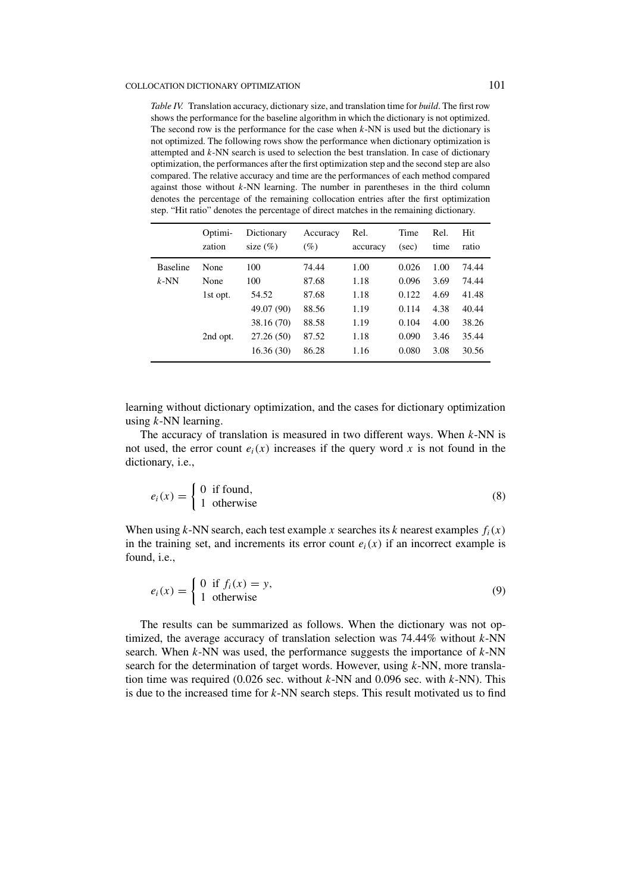#### COLLOCATION DICTIONARY OPTIMIZATION 101

*Table IV.* Translation accuracy, dictionary size, and translation time for *build*. The first row shows the performance for the baseline algorithm in which the dictionary is not optimized. The second row is the performance for the case when *k*-NN is used but the dictionary is not optimized. The following rows show the performance when dictionary optimization is attempted and *k*-NN search is used to selection the best translation. In case of dictionary optimization, the performances after the first optimization step and the second step are also compared. The relative accuracy and time are the performances of each method compared against those without *k*-NN learning. The number in parentheses in the third column denotes the percentage of the remaining collocation entries after the first optimization step. "Hit ratio" denotes the percentage of direct matches in the remaining dictionary.

|                 | Optimi-<br>zation | Dictionary<br>size $(\%)$ | Accuracy<br>(%) | Rel.<br>accuracy | Time<br>(sec) | Rel.<br>time | Hit<br>ratio |
|-----------------|-------------------|---------------------------|-----------------|------------------|---------------|--------------|--------------|
| <b>Baseline</b> | None              | 100                       | 74.44           | 1.00             | 0.026         | 1.00         | 74.44        |
| $k$ -NN         | None              | 100                       | 87.68           | 1.18             | 0.096         | 3.69         | 74.44        |
|                 | 1st opt.          | 54.52                     | 87.68           | 1.18             | 0.122         | 4.69         | 41.48        |
|                 |                   | 49.07 (90)                | 88.56           | 1.19             | 0.114         | 4.38         | 40.44        |
|                 |                   | 38.16 (70)                | 88.58           | 1.19             | 0.104         | 4.00         | 38.26        |
|                 | 2nd opt.          | 27.26(50)                 | 87.52           | 1.18             | 0.090         | 3.46         | 35.44        |
|                 |                   | 16.36(30)                 | 86.28           | 1.16             | 0.080         | 3.08         | 30.56        |

learning without dictionary optimization, and the cases for dictionary optimization using *k*-NN learning.

The accuracy of translation is measured in two different ways. When *k*-NN is not used, the error count  $e_i(x)$  increases if the query word x is not found in the dictionary, i.e.,

$$
e_i(x) = \begin{cases} 0 & \text{if found,} \\ 1 & \text{otherwise} \end{cases}
$$
 (8)

When using *k*-NN search, each test example *x* searches its *k* nearest examples  $f_i(x)$ in the training set, and increments its error count  $e_i(x)$  if an incorrect example is found, i.e.,

$$
e_i(x) = \begin{cases} 0 & \text{if } f_i(x) = y, \\ 1 & \text{otherwise} \end{cases}
$$
 (9)

The results can be summarized as follows. When the dictionary was not optimized, the average accuracy of translation selection was 74.44% without *k*-NN search. When *k*-NN was used, the performance suggests the importance of *k*-NN search for the determination of target words. However, using *k*-NN, more translation time was required (0.026 sec. without *k*-NN and 0.096 sec. with *k*-NN). This is due to the increased time for *k*-NN search steps. This result motivated us to find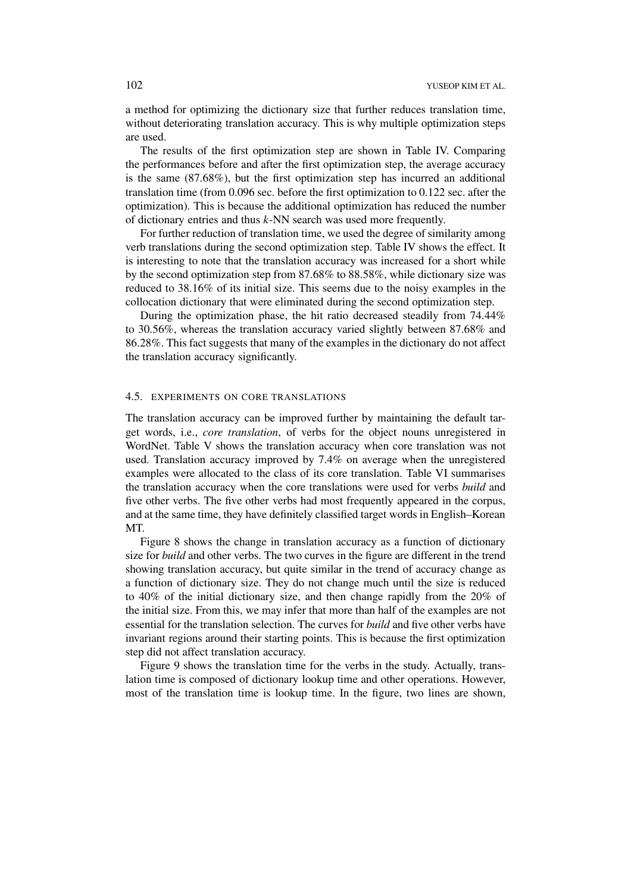a method for optimizing the dictionary size that further reduces translation time, without deteriorating translation accuracy. This is why multiple optimization steps are used.

The results of the first optimization step are shown in Table IV. Comparing the performances before and after the first optimization step, the average accuracy is the same (87.68%), but the first optimization step has incurred an additional translation time (from 0.096 sec. before the first optimization to 0.122 sec. after the optimization). This is because the additional optimization has reduced the number of dictionary entries and thus *k*-NN search was used more frequently.

For further reduction of translation time, we used the degree of similarity among verb translations during the second optimization step. Table IV shows the effect. It is interesting to note that the translation accuracy was increased for a short while by the second optimization step from 87.68% to 88.58%, while dictionary size was reduced to 38.16% of its initial size. This seems due to the noisy examples in the collocation dictionary that were eliminated during the second optimization step.

During the optimization phase, the hit ratio decreased steadily from 74.44% to 30.56%, whereas the translation accuracy varied slightly between 87.68% and 86.28%. This fact suggests that many of the examples in the dictionary do not affect the translation accuracy significantly.

# 4.5. EXPERIMENTS ON CORE TRANSLATIONS

The translation accuracy can be improved further by maintaining the default target words, i.e., *core translation*, of verbs for the object nouns unregistered in WordNet. Table V shows the translation accuracy when core translation was not used. Translation accuracy improved by 7.4% on average when the unregistered examples were allocated to the class of its core translation. Table VI summarises the translation accuracy when the core translations were used for verbs *build* and five other verbs. The five other verbs had most frequently appeared in the corpus, and at the same time, they have definitely classified target words in English–Korean MT.

Figure 8 shows the change in translation accuracy as a function of dictionary size for *build* and other verbs. The two curves in the figure are different in the trend showing translation accuracy, but quite similar in the trend of accuracy change as a function of dictionary size. They do not change much until the size is reduced to 40% of the initial dictionary size, and then change rapidly from the 20% of the initial size. From this, we may infer that more than half of the examples are not essential for the translation selection. The curves for *build* and five other verbs have invariant regions around their starting points. This is because the first optimization step did not affect translation accuracy.

Figure 9 shows the translation time for the verbs in the study. Actually, translation time is composed of dictionary lookup time and other operations. However, most of the translation time is lookup time. In the figure, two lines are shown,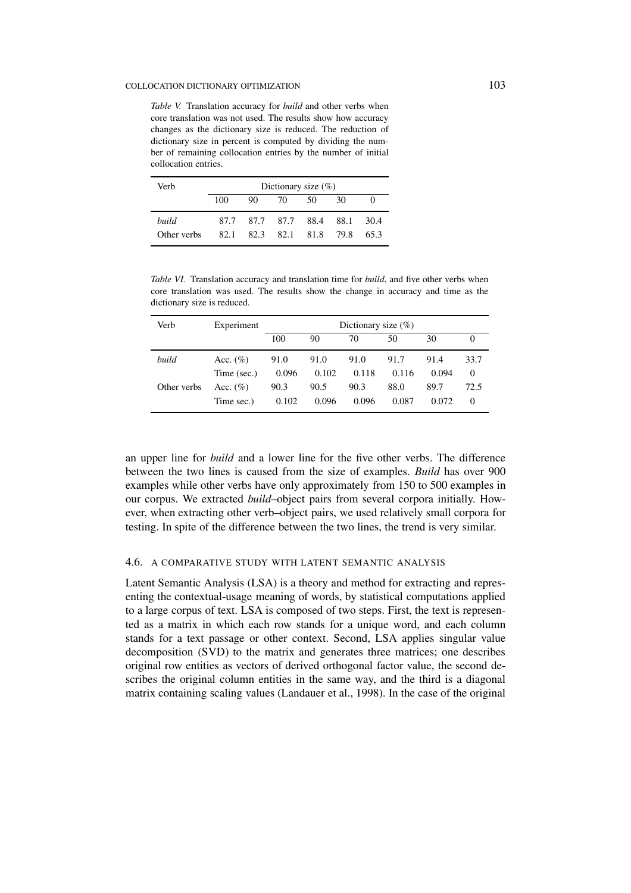#### COLLOCATION DICTIONARY OPTIMIZATION 103

*Table V.* Translation accuracy for *build* and other verbs when core translation was not used. The results show how accuracy changes as the dictionary size is reduced. The reduction of dictionary size in percent is computed by dividing the number of remaining collocation entries by the number of initial collocation entries.

| Verb        | Dictionary size $(\%)$ |    |                     |    |      |      |
|-------------|------------------------|----|---------------------|----|------|------|
|             | 100                    | 90 | 70                  | 50 | 30   |      |
| build       | 87.7                   |    | 87.7 87.7 88.4      |    | 88.1 | 30.4 |
| Other verbs | 82.1                   |    | 82.3 82.1 81.8 79.8 |    |      | 65.3 |

*Table VI.* Translation accuracy and translation time for *build*, and five other verbs when core translation was used. The results show the change in accuracy and time as the dictionary size is reduced.

| Verb        | Experiment  | Dictionary size $(\% )$ |       |       |       |       |          |
|-------------|-------------|-------------------------|-------|-------|-------|-------|----------|
|             |             | 100                     | 90    | 70    | 50    | 30    |          |
| build       | Acc. $(\%)$ | 91.0                    | 91.0  | 91.0  | 91.7  | 91.4  | 33.7     |
|             | Time (sec.) | 0.096                   | 0.102 | 0.118 | 0.116 | 0.094 | $\theta$ |
| Other verbs | Acc. $(\%)$ | 90.3                    | 90.5  | 90.3  | 88.0  | 89.7  | 72.5     |
|             | Time sec.)  | 0.102                   | 0.096 | 0.096 | 0.087 | 0.072 | $\theta$ |

an upper line for *build* and a lower line for the five other verbs. The difference between the two lines is caused from the size of examples. *Build* has over 900 examples while other verbs have only approximately from 150 to 500 examples in our corpus. We extracted *build*–object pairs from several corpora initially. However, when extracting other verb–object pairs, we used relatively small corpora for testing. In spite of the difference between the two lines, the trend is very similar.

# 4.6. A COMPARATIVE STUDY WITH LATENT SEMANTIC ANALYSIS

Latent Semantic Analysis (LSA) is a theory and method for extracting and representing the contextual-usage meaning of words, by statistical computations applied to a large corpus of text. LSA is composed of two steps. First, the text is represented as a matrix in which each row stands for a unique word, and each column stands for a text passage or other context. Second, LSA applies singular value decomposition (SVD) to the matrix and generates three matrices; one describes original row entities as vectors of derived orthogonal factor value, the second describes the original column entities in the same way, and the third is a diagonal matrix containing scaling values (Landauer et al., 1998). In the case of the original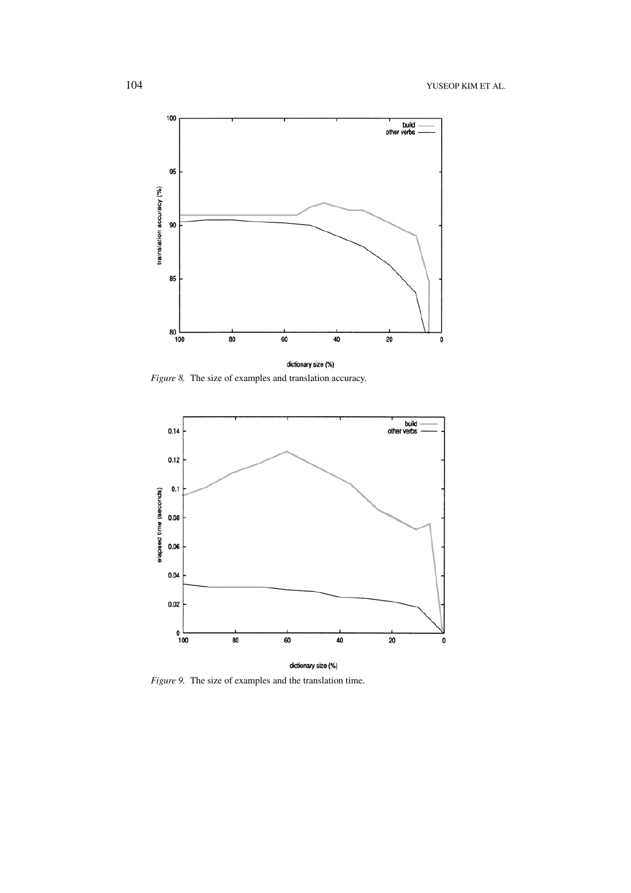

*Figure 8.* The size of examples and translation accuracy.



*Figure 9.* The size of examples and the translation time.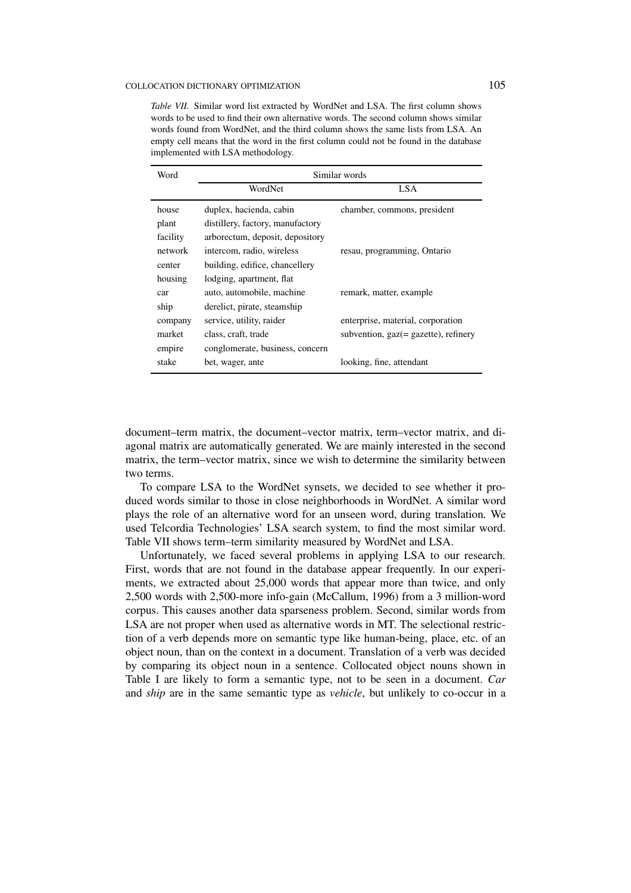#### COLLOCATION DICTIONARY OPTIMIZATION 105

*Table VII.* Similar word list extracted by WordNet and LSA. The first column shows words to be used to find their own alternative words. The second column shows similar words found from WordNet, and the third column shows the same lists from LSA. An empty cell means that the word in the first column could not be found in the database implemented with LSA methodology.

| Word     | Similar words                    |                                          |  |  |  |  |
|----------|----------------------------------|------------------------------------------|--|--|--|--|
|          | WordNet                          | LSA                                      |  |  |  |  |
| house    | duplex, hacienda, cabin          | chamber, commons, president              |  |  |  |  |
| plant    | distillery, factory, manufactory |                                          |  |  |  |  |
| facility | arborectum, deposit, depository  |                                          |  |  |  |  |
| network  | intercom, radio, wireless        | resau, programming, Ontario              |  |  |  |  |
| center   | building, edifice, chancellery   |                                          |  |  |  |  |
| housing  | lodging, apartment, flat         |                                          |  |  |  |  |
| car      | auto, automobile, machine        | remark, matter, example                  |  |  |  |  |
| ship     | derelict, pirate, steamship      |                                          |  |  |  |  |
| company  | service, utility, raider         | enterprise, material, corporation        |  |  |  |  |
| market   | class, craft, trade              | subvention, $gaz (= gazette)$ , refinery |  |  |  |  |
| empire   | conglomerate, business, concern  |                                          |  |  |  |  |
| stake    | bet, wager, ante                 | looking, fine, attendant                 |  |  |  |  |

document–term matrix, the document–vector matrix, term–vector matrix, and diagonal matrix are automatically generated. We are mainly interested in the second matrix, the term–vector matrix, since we wish to determine the similarity between two terms.

To compare LSA to the WordNet synsets, we decided to see whether it produced words similar to those in close neighborhoods in WordNet. A similar word plays the role of an alternative word for an unseen word, during translation. We used Telcordia Technologies' LSA search system, to find the most similar word. Table VII shows term–term similarity measured by WordNet and LSA.

Unfortunately, we faced several problems in applying LSA to our research. First, words that are not found in the database appear frequently. In our experiments, we extracted about 25,000 words that appear more than twice, and only 2,500 words with 2,500-more info-gain (McCallum, 1996) from a 3 million-word corpus. This causes another data sparseness problem. Second, similar words from LSA are not proper when used as alternative words in MT. The selectional restriction of a verb depends more on semantic type like human-being, place, etc. of an object noun, than on the context in a document. Translation of a verb was decided by comparing its object noun in a sentence. Collocated object nouns shown in Table I are likely to form a semantic type, not to be seen in a document. *Car* and *ship* are in the same semantic type as *vehicle*, but unlikely to co-occur in a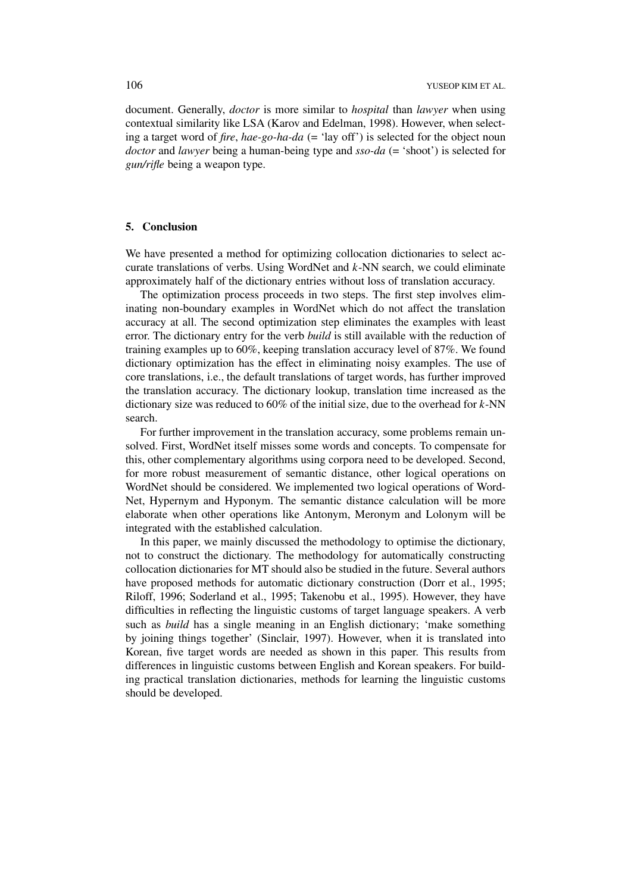document. Generally, *doctor* is more similar to *hospital* than *lawyer* when using contextual similarity like LSA (Karov and Edelman, 1998). However, when selecting a target word of *fire*, *hae-go-ha-da* (= 'lay off') is selected for the object noun *doctor* and *lawyer* being a human-being type and *sso-da* (= 'shoot') is selected for *gun/rifle* being a weapon type.

# **5. Conclusion**

We have presented a method for optimizing collocation dictionaries to select accurate translations of verbs. Using WordNet and *k*-NN search, we could eliminate approximately half of the dictionary entries without loss of translation accuracy.

The optimization process proceeds in two steps. The first step involves eliminating non-boundary examples in WordNet which do not affect the translation accuracy at all. The second optimization step eliminates the examples with least error. The dictionary entry for the verb *build* is still available with the reduction of training examples up to 60%, keeping translation accuracy level of 87%. We found dictionary optimization has the effect in eliminating noisy examples. The use of core translations, i.e., the default translations of target words, has further improved the translation accuracy. The dictionary lookup, translation time increased as the dictionary size was reduced to 60% of the initial size, due to the overhead for *k*-NN search.

For further improvement in the translation accuracy, some problems remain unsolved. First, WordNet itself misses some words and concepts. To compensate for this, other complementary algorithms using corpora need to be developed. Second, for more robust measurement of semantic distance, other logical operations on WordNet should be considered. We implemented two logical operations of Word-Net, Hypernym and Hyponym. The semantic distance calculation will be more elaborate when other operations like Antonym, Meronym and Lolonym will be integrated with the established calculation.

In this paper, we mainly discussed the methodology to optimise the dictionary, not to construct the dictionary. The methodology for automatically constructing collocation dictionaries for MT should also be studied in the future. Several authors have proposed methods for automatic dictionary construction (Dorr et al., 1995; Riloff, 1996; Soderland et al., 1995; Takenobu et al., 1995). However, they have difficulties in reflecting the linguistic customs of target language speakers. A verb such as *build* has a single meaning in an English dictionary; 'make something by joining things together' (Sinclair, 1997). However, when it is translated into Korean, five target words are needed as shown in this paper. This results from differences in linguistic customs between English and Korean speakers. For building practical translation dictionaries, methods for learning the linguistic customs should be developed.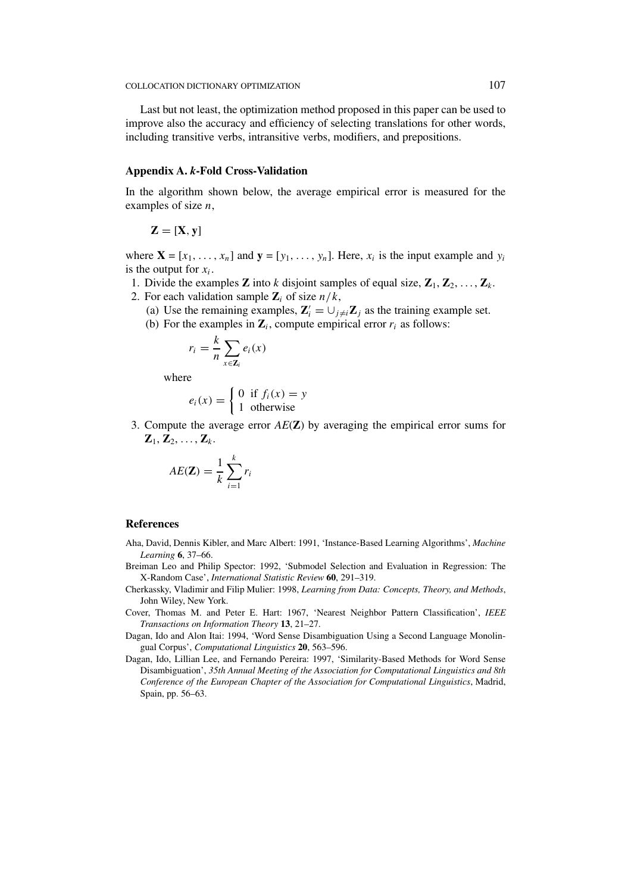Last but not least, the optimization method proposed in this paper can be used to improve also the accuracy and efficiency of selecting translations for other words, including transitive verbs, intransitive verbs, modifiers, and prepositions.

#### **Appendix A.** *k***-Fold Cross-Validation**

In the algorithm shown below, the average empirical error is measured for the examples of size *n*,

$$
Z = \left[ X, y \right]
$$

where  $\mathbf{X} = [x_1, \ldots, x_n]$  and  $\mathbf{y} = [y_1, \ldots, y_n]$ . Here,  $x_i$  is the input example and  $y_i$ is the output for  $x_i$ .

- 1. Divide the examples **Z** into *k* disjoint samples of equal size,  $\mathbf{Z}_1, \mathbf{Z}_2, \ldots, \mathbf{Z}_k$ .
- 2. For each validation sample  $\mathbf{Z}_i$  of size  $n/k$ ,
	- (a) Use the remaining examples,  $\mathbf{Z}'_i = \bigcup_{j \neq i} \mathbf{Z}_j$  as the training example set.
	- (b) For the examples in  $\mathbf{Z}_i$ , compute empirical error  $r_i$  as follows:

$$
r_i = \frac{k}{n} \sum_{x \in \mathbf{Z}_i} e_i(x)
$$

where

$$
e_i(x) = \begin{cases} 0 & \text{if } f_i(x) = y \\ 1 & \text{otherwise} \end{cases}
$$

3. Compute the average error *AE*(**Z**) by averaging the empirical error sums for  $\mathbf{Z}_1, \mathbf{Z}_2, \ldots, \mathbf{Z}_k$ .

$$
AE(\mathbf{Z}) = \frac{1}{k} \sum_{i=1}^{k} r_i
$$

#### **References**

- Aha, David, Dennis Kibler, and Marc Albert: 1991, 'Instance-Based Learning Algorithms', *Machine Learning* **6**, 37–66.
- Breiman Leo and Philip Spector: 1992, 'Submodel Selection and Evaluation in Regression: The X-Random Case', *International Statistic Review* **60**, 291–319.
- Cherkassky, Vladimir and Filip Mulier: 1998, *Learning from Data: Concepts, Theory, and Methods*, John Wiley, New York.
- Cover, Thomas M. and Peter E. Hart: 1967, 'Nearest Neighbor Pattern Classification', *IEEE Transactions on Information Theory* **13**, 21–27.
- Dagan, Ido and Alon Itai: 1994, 'Word Sense Disambiguation Using a Second Language Monolingual Corpus', *Computational Linguistics* **20**, 563–596.
- Dagan, Ido, Lillian Lee, and Fernando Pereira: 1997, 'Similarity-Based Methods for Word Sense Disambiguation', *35th Annual Meeting of the Association for Computational Linguistics and 8th Conference of the European Chapter of the Association for Computational Linguistics*, Madrid, Spain, pp. 56–63.